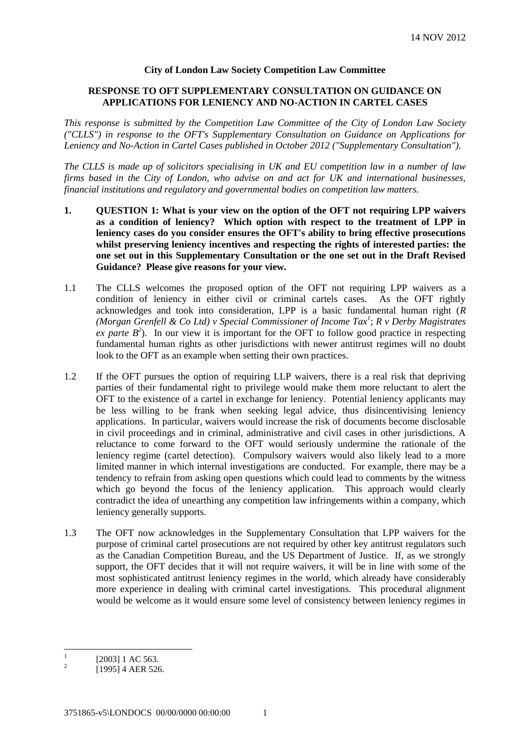## **City of London Law Society Competition Law Committee**

#### **RESPONSE TO OFT SUPPLEMENTARY CONSULTATION ON GUIDANCE ON APPLICATIONS FOR LENIENCY AND NO-ACTION IN CARTEL CASES**

*This response is submitted by the Competition Law Committee of the City of London Law Society ("CLLS") in response to the OFT's Supplementary Consultation on Guidance on Applications for Leniency and No-Action in Cartel Cases published in October 2012 ("Supplementary Consultation").*

*The CLLS is made up of solicitors specialising in UK and EU competition law in a number of law firms based in the City of London, who advise on and act for UK and international businesses, financial institutions and regulatory and governmental bodies on competition law matters.*

- **1. QUESTION 1: What is your view on the option of the OFT not requiring LPP waivers as a condition of leniency? Which option with respect to the treatment of LPP in leniency cases do you consider ensures the OFT's ability to bring effective prosecutions whilst preserving leniency incentives and respecting the rights of interested parties: the one set out in this Supplementary Consultation or the one set out in the Draft Revised Guidance? Please give reasons for your view.**
- 1.1 The CLLS welcomes the proposed option of the OFT not requiring LPP waivers as a condition of leniency in either civil or criminal cartels cases. As the OFT rightly acknowledges and took into consideration, LPP is a basic fundamental human right (*R (Morgan Grenfell & Co Ltd) v Special Commissioner of Income Tax<sup>1</sup>* ; *R v Derby Magistrates ex parte*  $B^2$ ). In our view it is important for the OFT to follow good practice in respecting fundamental human rights as other jurisdictions with newer antitrust regimes will no doubt look to the OFT as an example when setting their own practices.
- 1.2 If the OFT pursues the option of requiring LLP waivers, there is a real risk that depriving parties of their fundamental right to privilege would make them more reluctant to alert the OFT to the existence of a cartel in exchange for leniency. Potential leniency applicants may be less willing to be frank when seeking legal advice, thus disincentivising leniency applications. In particular, waivers would increase the risk of documents become disclosable in civil proceedings and in criminal, administrative and civil cases in other jurisdictions. A reluctance to come forward to the OFT would seriously undermine the rationale of the leniency regime (cartel detection). Compulsory waivers would also likely lead to a more limited manner in which internal investigations are conducted. For example, there may be a tendency to refrain from asking open questions which could lead to comments by the witness which go beyond the focus of the leniency application. This approach would clearly contradict the idea of unearthing any competition law infringements within a company, which leniency generally supports.
- 1.3 The OFT now acknowledges in the Supplementary Consultation that LPP waivers for the purpose of criminal cartel prosecutions are not required by other key antitrust regulators such as the Canadian Competition Bureau, and the US Department of Justice. If, as we strongly support, the OFT decides that it will not require waivers, it will be in line with some of the most sophisticated antitrust leniency regimes in the world, which already have considerably more experience in dealing with criminal cartel investigations. This procedural alignment would be welcome as it would ensure some level of consistency between leniency regimes in

 $\frac{1}{1}$ [2003] 1 AC 563.

 $\overline{2}$ [1995] 4 AER 526.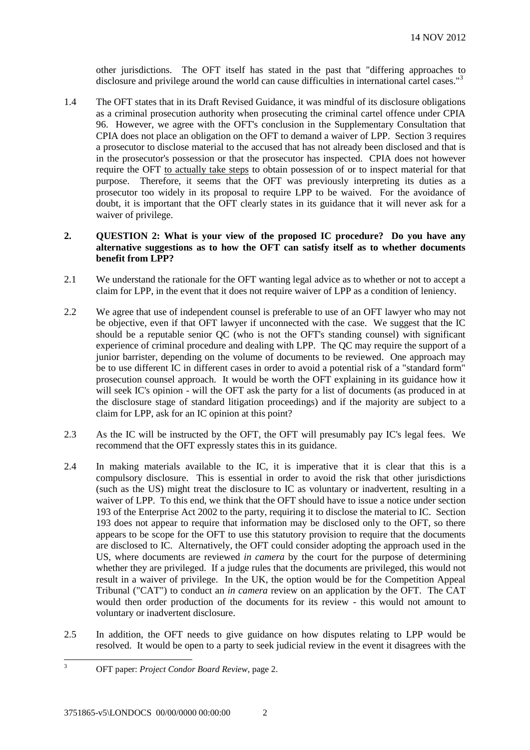other jurisdictions. The OFT itself has stated in the past that "differing approaches to disclosure and privilege around the world can cause difficulties in international cartel cases."<sup>3</sup>

1.4 The OFT states that in its Draft Revised Guidance, it was mindful of its disclosure obligations as a criminal prosecution authority when prosecuting the criminal cartel offence under CPIA 96. However, we agree with the OFT's conclusion in the Supplementary Consultation that CPIA does not place an obligation on the OFT to demand a waiver of LPP. Section 3 requires a prosecutor to disclose material to the accused that has not already been disclosed and that is in the prosecutor's possession or that the prosecutor has inspected. CPIA does not however require the OFT to actually take steps to obtain possession of or to inspect material for that purpose. Therefore, it seems that the OFT was previously interpreting its duties as a prosecutor too widely in its proposal to require LPP to be waived. For the avoidance of doubt, it is important that the OFT clearly states in its guidance that it will never ask for a waiver of privilege.

# **2. QUESTION 2: What is your view of the proposed IC procedure? Do you have any alternative suggestions as to how the OFT can satisfy itself as to whether documents benefit from LPP?**

- 2.1 We understand the rationale for the OFT wanting legal advice as to whether or not to accept a claim for LPP, in the event that it does not require waiver of LPP as a condition of leniency.
- 2.2 We agree that use of independent counsel is preferable to use of an OFT lawyer who may not be objective, even if that OFT lawyer if unconnected with the case. We suggest that the IC should be a reputable senior QC (who is not the OFT's standing counsel) with significant experience of criminal procedure and dealing with LPP. The QC may require the support of a junior barrister, depending on the volume of documents to be reviewed. One approach may be to use different IC in different cases in order to avoid a potential risk of a "standard form" prosecution counsel approach. It would be worth the OFT explaining in its guidance how it will seek IC's opinion - will the OFT ask the party for a list of documents (as produced in at the disclosure stage of standard litigation proceedings) and if the majority are subject to a claim for LPP, ask for an IC opinion at this point?
- 2.3 As the IC will be instructed by the OFT, the OFT will presumably pay IC's legal fees. We recommend that the OFT expressly states this in its guidance.
- 2.4 In making materials available to the IC, it is imperative that it is clear that this is a compulsory disclosure. This is essential in order to avoid the risk that other jurisdictions (such as the US) might treat the disclosure to IC as voluntary or inadvertent, resulting in a waiver of LPP. To this end, we think that the OFT should have to issue a notice under section 193 of the Enterprise Act 2002 to the party, requiring it to disclose the material to IC. Section 193 does not appear to require that information may be disclosed only to the OFT, so there appears to be scope for the OFT to use this statutory provision to require that the documents are disclosed to IC. Alternatively, the OFT could consider adopting the approach used in the US, where documents are reviewed *in camera* by the court for the purpose of determining whether they are privileged. If a judge rules that the documents are privileged, this would not result in a waiver of privilege. In the UK, the option would be for the Competition Appeal Tribunal ("CAT") to conduct an *in camera* review on an application by the OFT. The CAT would then order production of the documents for its review - this would not amount to voluntary or inadvertent disclosure.
- 2.5 In addition, the OFT needs to give guidance on how disputes relating to LPP would be resolved. It would be open to a party to seek judicial review in the event it disagrees with the

 $\overline{3}$ <sup>3</sup> OFT paper: *Project Condor Board Review*, page 2.